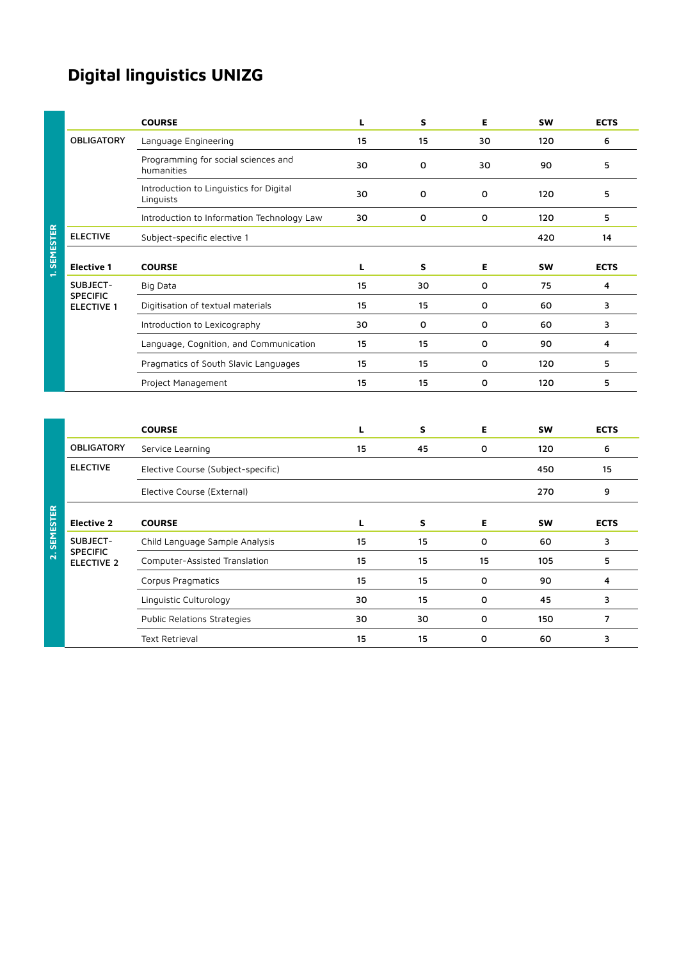## **Digital linguistics UNIZG**

|                 |                                                  | <b>COURSE</b>                                        | L.       | S        | Е           | SW              | <b>ECTS</b>      |
|-----------------|--------------------------------------------------|------------------------------------------------------|----------|----------|-------------|-----------------|------------------|
|                 | <b>OBLIGATORY</b>                                | Language Engineering                                 | 15       | 15       | 30          | 120             | 6                |
|                 |                                                  | Programming for social sciences and<br>humanities    | 30       | o        | 30          | 90              | 5                |
|                 |                                                  | Introduction to Linguistics for Digital<br>Linguists | 30       | 0        | 0           | 120             | 5                |
|                 |                                                  | Introduction to Information Technology Law           | 30       | 0        | 0           | 120             | 5                |
|                 | <b>ELECTIVE</b>                                  | Subject-specific elective 1                          |          |          |             | 420             | 14               |
| 1. SEMESTER     | <b>Elective 1</b>                                | <b>COURSE</b>                                        | L        | s        | Е           | <b>SW</b>       | <b>ECTS</b>      |
|                 | SUBJECT-<br><b>SPECIFIC</b><br><b>ELECTIVE 1</b> | Big Data                                             | 15       | 30       | 0           | 75              | 4                |
|                 |                                                  | Digitisation of textual materials                    | 15       | 15       | $\mathbf 0$ | 60              | 3                |
|                 |                                                  | Introduction to Lexicography                         | 30       | 0        | 0           | 60              | 3                |
|                 |                                                  | Language, Cognition, and Communication               | 15       | 15       | 0           | 90              | 4                |
|                 |                                                  | Pragmatics of South Slavic Languages                 | 15       | 15       | 0           | 120             | 5                |
|                 |                                                  | Project Management                                   | 15       | 15       | 0           | 120             | 5                |
|                 |                                                  |                                                      |          |          |             |                 |                  |
|                 |                                                  | <b>COURSE</b>                                        | L        | S        | Е           | <b>SW</b>       | <b>ECTS</b>      |
|                 | <b>OBLIGATORY</b>                                | Service Learning                                     | 15       | 45       | 0           | 120             | 6                |
|                 | <b>ELECTIVE</b>                                  | Elective Course (Subject-specific)                   |          |          |             | 450             | 15               |
|                 |                                                  | Elective Course (External)                           |          |          |             | 270             | 9                |
|                 |                                                  |                                                      |          |          |             |                 |                  |
| <b>SEMESTER</b> | <b>Elective 2</b><br>SUBJECT-                    | <b>COURSE</b><br>Child Language Sample Analysis      | L<br>15  | S<br>15  | Е<br>0      | <b>SW</b><br>60 | <b>ECTS</b><br>3 |
| N               | <b>SPECIFIC</b><br><b>ELECTIVE 2</b>             | Computer-Assisted Translation                        | 15       | 15       | 15          | 105             | 5                |
|                 |                                                  |                                                      |          |          |             |                 |                  |
|                 |                                                  | Corpus Pragmatics                                    | 15<br>30 | 15<br>15 | 0<br>0      | 90<br>45        | 4<br>3           |
|                 |                                                  | Linguistic Culturology                               |          |          |             |                 |                  |
|                 |                                                  | Public Relations Strategies                          | 30       | 30       | 0           | 150             | $\overline{7}$   |
|                 |                                                  | Text Retrieval                                       | 15       | 15       | 0           | 60              | 3                |